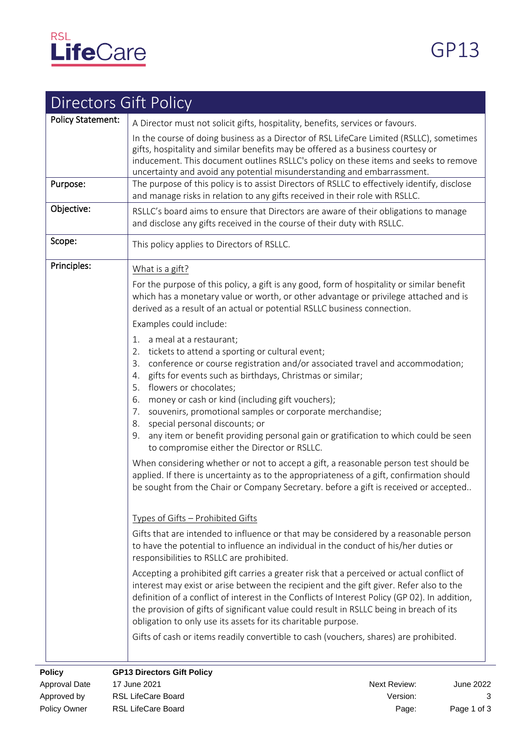

| <b>Directors Gift Policy</b> |                                                                                                                                                                                                                                                                                                                                                                                                                                                                                                                                                                                                  |  |  |  |  |
|------------------------------|--------------------------------------------------------------------------------------------------------------------------------------------------------------------------------------------------------------------------------------------------------------------------------------------------------------------------------------------------------------------------------------------------------------------------------------------------------------------------------------------------------------------------------------------------------------------------------------------------|--|--|--|--|
| <b>Policy Statement:</b>     | A Director must not solicit gifts, hospitality, benefits, services or favours.                                                                                                                                                                                                                                                                                                                                                                                                                                                                                                                   |  |  |  |  |
| Purpose:                     | In the course of doing business as a Director of RSL LifeCare Limited (RSLLC), sometimes<br>gifts, hospitality and similar benefits may be offered as a business courtesy or<br>inducement. This document outlines RSLLC's policy on these items and seeks to remove<br>uncertainty and avoid any potential misunderstanding and embarrassment.<br>The purpose of this policy is to assist Directors of RSLLC to effectively identify, disclose<br>and manage risks in relation to any gifts received in their role with RSLLC.                                                                  |  |  |  |  |
| Objective:                   | RSLLC's board aims to ensure that Directors are aware of their obligations to manage<br>and disclose any gifts received in the course of their duty with RSLLC.                                                                                                                                                                                                                                                                                                                                                                                                                                  |  |  |  |  |
| Scope:                       | This policy applies to Directors of RSLLC.                                                                                                                                                                                                                                                                                                                                                                                                                                                                                                                                                       |  |  |  |  |
| Principles:                  | What is a gift?                                                                                                                                                                                                                                                                                                                                                                                                                                                                                                                                                                                  |  |  |  |  |
|                              | For the purpose of this policy, a gift is any good, form of hospitality or similar benefit<br>which has a monetary value or worth, or other advantage or privilege attached and is<br>derived as a result of an actual or potential RSLLC business connection.                                                                                                                                                                                                                                                                                                                                   |  |  |  |  |
|                              | Examples could include:                                                                                                                                                                                                                                                                                                                                                                                                                                                                                                                                                                          |  |  |  |  |
|                              | a meal at a restaurant;<br>1.<br>tickets to attend a sporting or cultural event;<br>2.<br>conference or course registration and/or associated travel and accommodation;<br>3.<br>gifts for events such as birthdays, Christmas or similar;<br>4.<br>flowers or chocolates;<br>5.<br>money or cash or kind (including gift vouchers);<br>6.<br>souvenirs, promotional samples or corporate merchandise;<br>7.<br>special personal discounts; or<br>8.<br>any item or benefit providing personal gain or gratification to which could be seen<br>9.<br>to compromise either the Director or RSLLC. |  |  |  |  |
|                              | When considering whether or not to accept a gift, a reasonable person test should be<br>applied. If there is uncertainty as to the appropriateness of a gift, confirmation should<br>be sought from the Chair or Company Secretary. before a gift is received or accepted                                                                                                                                                                                                                                                                                                                        |  |  |  |  |
|                              | Types of Gifts - Prohibited Gifts                                                                                                                                                                                                                                                                                                                                                                                                                                                                                                                                                                |  |  |  |  |
|                              | Gifts that are intended to influence or that may be considered by a reasonable person<br>to have the potential to influence an individual in the conduct of his/her duties or<br>responsibilities to RSLLC are prohibited.                                                                                                                                                                                                                                                                                                                                                                       |  |  |  |  |
|                              | Accepting a prohibited gift carries a greater risk that a perceived or actual conflict of<br>interest may exist or arise between the recipient and the gift giver. Refer also to the<br>definition of a conflict of interest in the Conflicts of Interest Policy (GP 02). In addition,<br>the provision of gifts of significant value could result in RSLLC being in breach of its<br>obligation to only use its assets for its charitable purpose.                                                                                                                                              |  |  |  |  |
|                              | Gifts of cash or items readily convertible to cash (vouchers, shares) are prohibited.                                                                                                                                                                                                                                                                                                                                                                                                                                                                                                            |  |  |  |  |
| <b>Policy</b>                | <b>GP13 Directors Gift Policy</b>                                                                                                                                                                                                                                                                                                                                                                                                                                                                                                                                                                |  |  |  |  |

Approval Date 17 June 2021 Next Review: June 2022 Approved by RSL LifeCare Board **All and Strutter Control Control Control Control Control Control Control Control Control Control Control Control Control Control Control Control Control Control Control Control Control Contr** Policy Owner RSL LifeCare Board **Policy Contract Contract Page:** Page 1 of 3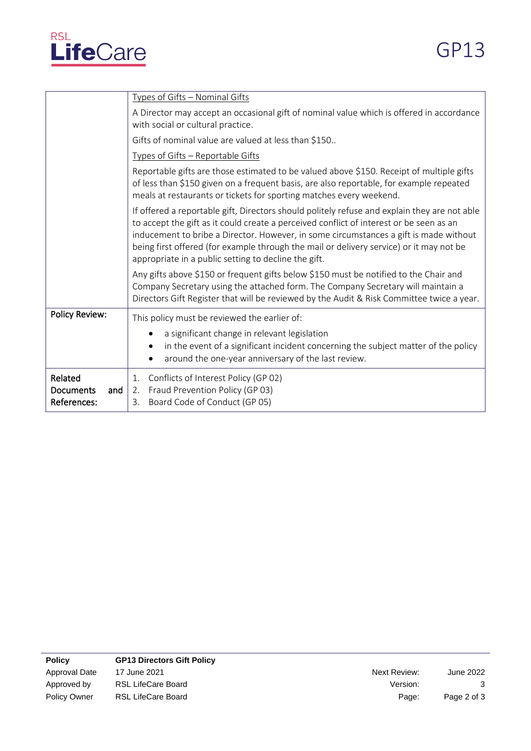

|                                            | Types of Gifts - Nominal Gifts                                                                                                                                                                                                                                                                                                                                                                                                      |  |  |  |  |  |
|--------------------------------------------|-------------------------------------------------------------------------------------------------------------------------------------------------------------------------------------------------------------------------------------------------------------------------------------------------------------------------------------------------------------------------------------------------------------------------------------|--|--|--|--|--|
|                                            | A Director may accept an occasional gift of nominal value which is offered in accordance<br>with social or cultural practice.                                                                                                                                                                                                                                                                                                       |  |  |  |  |  |
|                                            | Gifts of nominal value are valued at less than \$150                                                                                                                                                                                                                                                                                                                                                                                |  |  |  |  |  |
|                                            | Types of Gifts - Reportable Gifts                                                                                                                                                                                                                                                                                                                                                                                                   |  |  |  |  |  |
|                                            | Reportable gifts are those estimated to be valued above \$150. Receipt of multiple gifts<br>of less than \$150 given on a frequent basis, are also reportable, for example repeated<br>meals at restaurants or tickets for sporting matches every weekend.                                                                                                                                                                          |  |  |  |  |  |
|                                            | If offered a reportable gift, Directors should politely refuse and explain they are not able<br>to accept the gift as it could create a perceived conflict of interest or be seen as an<br>inducement to bribe a Director. However, in some circumstances a gift is made without<br>being first offered (for example through the mail or delivery service) or it may not be<br>appropriate in a public setting to decline the gift. |  |  |  |  |  |
|                                            | Any gifts above \$150 or frequent gifts below \$150 must be notified to the Chair and<br>Company Secretary using the attached form. The Company Secretary will maintain a<br>Directors Gift Register that will be reviewed by the Audit & Risk Committee twice a year.                                                                                                                                                              |  |  |  |  |  |
| <b>Policy Review:</b>                      | This policy must be reviewed the earlier of:                                                                                                                                                                                                                                                                                                                                                                                        |  |  |  |  |  |
|                                            | a significant change in relevant legislation<br>in the event of a significant incident concerning the subject matter of the policy<br>around the one-year anniversary of the last review.                                                                                                                                                                                                                                           |  |  |  |  |  |
| Related<br>Documents<br>and<br>References: | 1. Conflicts of Interest Policy (GP 02)<br>2. Fraud Prevention Policy (GP 03)<br>Board Code of Conduct (GP 05)<br>3.                                                                                                                                                                                                                                                                                                                |  |  |  |  |  |